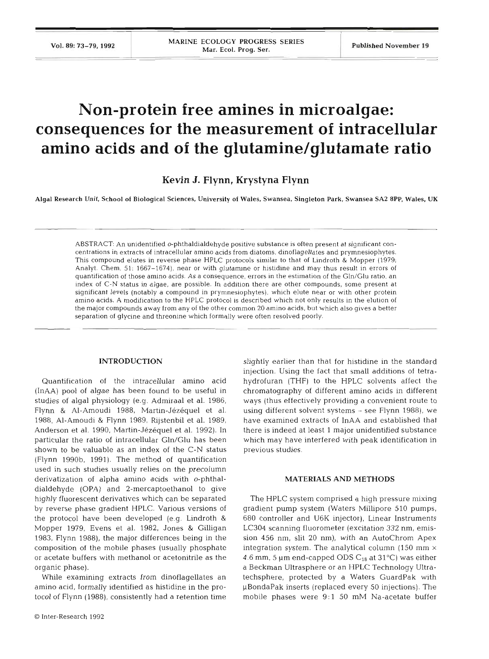Vol. 89: 73-79, 1992

# **Non-protein free amines in microalgae: consequences for the measurement of intracellular amino acids and of the glutamine/glutamate ratio**

**Kevin J. Flynn, Krystyna Flynn** 

Algal Research Unit, School of Biological Sciences, University of Wales, Swansea. Singleton Park, Swansea **SA2 8PP.** Wales. UK

ABSTRACT: An unidentified o-phthaldialdehyde positive substance is often present at significant concentrations in extracts of intracellular amino acids from diatoms, dinoflagellates and prymnesiophytes. This compound elutes in reverse phase HPLC protocols similar to that of Lindroth & Mopper (1979; Analyt. Chem. 51: 1667–1674), near or with glutamine or histidine and may thus result in errors of quantification of those amino acids. As a consequence, errors in the estimation of the Gln/Glu ratio, an index of C-N status in algae, are possible. In addition there are other compounds, some present at significant levels (notably a compound in prymnesiophytes), which elute near or with other protein amino acids. **A** modification to the HPLC protocol is described which not only results in the elution of the major compounds away from any of the other common 20 amino acids, but which also gives a better separation of glycine and threonine which formally were often resolved poorly.

## **INTRODUCTION**

Quantification of the intracellular amino acid (InAA) pool of algae has been found to be useful in studies of algal physiology (e.g. Admiraal et al. 1986, Flynn & Al-Amoudi 1988, Martin-Jézéquel et al. 1988, AI-Amoudi & Flynn 1989, Rijstenbil et al. 1989, Anderson et al. 1990, Martin-Jézéquel et al. 1992). In particular the ratio of intracellular Gln/Glu has been shown to be valuable as an index of the C-N sta (Flynn 1990b, 1991). The method of quantification used in such studies usually relies on the precolumn derivatization of alpha amino acids with o-phthaldialdehyde (OPA) and 2-mercaptoethanol to give highly fluorescent derivatives which can be separated by reverse phase gradient HPLC. Various versions of the protocol have been developed (e.g. Lindroth & Mopper 1979, Evens et al. 1982, Jones & Gilligan 1983, Flynn 1988), the major differences being in the composition of the mobile phases (usually phosphate or acetate buffers with methanol or acetonitrile as organic phase).

While examining extracts from dinoflagellates an amino acid, formally identified as histidine in the protocol of Flynn (1988), consistently had a retention time

slightly earlier than that for histidine in the standard injection. Using the fact that small additions of tetrahydrofuran (THF) to the HPLC solvents affect the chromatography of different amino acids in different ways (thus effectively providing a convenient route to using different solvent systems - see Flynn 1988), we have examined extracts of InAA and established that there is indeed at least 1 major unidentified substance which may have interfered with peak identification in previous studies.

#### **MATERIALS AND METHODS**

The HPLC system comprised a high pressure mixing gradient pump system (Waters Millipore 510 pumps, 680 controller and U6K injector), Linear Instruments LC304 scanning fluorometer (excitation 332 nm, emission 456 nm, slit 20 nm), with an AutoChrom Apex integration system. The analytical column (150 mm **<sup>X</sup>** 4.6 mm, 5  $\mu$ m end-capped ODS C<sub>18</sub> at 31<sup>o</sup>C) was either a Beckman Ultrasphere or an HPLC Technology Ultratechsphere, protected by a Waters GuardPak with pBondaPak inserts (replaced every 50 injections). The mobile phases were 9:l 50 mM Na-acetate buffer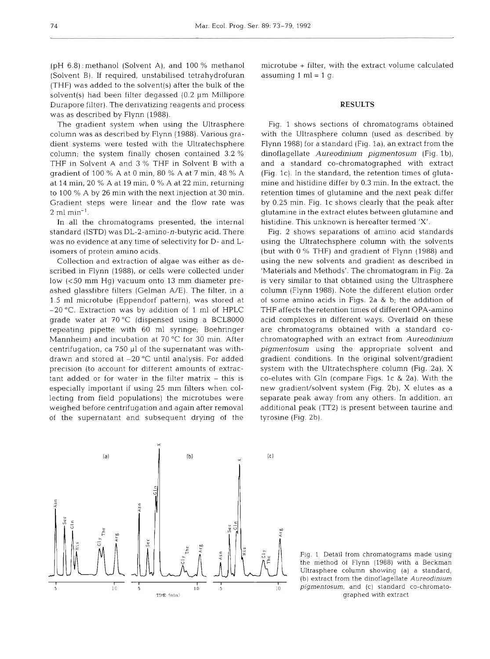(pH 6.8): methanol (Solvent A), and 100 % methanol (Solvent B). If required, unstabilised tetrahydrofuran (THF) was added to the solvent(s) after the bulk of the solvent(s) had been filter degassed  $(0.2 \mu m)$  Millipore Durapore filter). The denvatizing reagents and process was as described by Flynn (1988).

The gradient system when using the Ultrasphere column was as described by Flynn (1988). Various gradient systems were tested with the Ultratechsphere column; the system finally chosen contained 3.2 % THF in Solvent A and 3 % THF in Solvent B with a gradient of 100 % A at 0 min, 80 % A at 7 min, 48 % A at 14 min, 20 % A at 19 min, 0 % A at 22 min, returning to 100 % A by 26 min with the next injection at 30 min. Gradient steps were linear and the flow rate was  $2 \text{ ml min}^{-1}$ .

In all the chromatograms presented, the internal standard (ISTD) was DL-2-amino-n-butyric acid. There was no evidence at any time of selectivity for D- and Lisomers of protein amino acids.

Collection and extraction of algae was either as described in Flynn (1988), or cells were collected under low (c50 mm Hg) vacuum onto 13 mm diameter preashed glassfibre filters (Gelman A/E). The filter, in a 1.5 m1 microtube (Eppendorf pattern), was stored at -20 "C. Extraction was by addition of 1 m1 of HPLC grade water at 70°C (dispensed using a BCL8000 repeating pipette with 60 m1 syringe; Boehringer Mannheim) and incubation at 70  $^{\circ}$ C for 30 min. After centrifugation, ca 750 µl of the supernatant was withdrawn and stored at -20 *"C* until analysis. For added precision (to account for different amounts of extrac $tant added or for water in the filter matrix - this is$ especially important if using 25 mm filters when collecting from field populations) the microtubes were weighed before centrifugation and again after removal of the supernatant and subsequent drying of the

microtube + filter, with the extract volume calculated assuming  $1$  ml =  $1$  g.

## **RESULTS**

Fig. 1 shows sections of chromatograms obtained with the Ultrasphere column (used as described by Flynn 1988) for a standard (Fig. la), an extract from the dinoflagellate *Aureodinium pigmentosum* (Fig. lb), and a standard CO-chromatographed with extract (Fig. lc). In the standard, the retention times of glutamine and histidine differ by 0.3 min. In the extract, the retention times of glutamine and the next peak differ by 0.25 mm. Fig. lc shows clearly that the peak after glutamine in the extract elutes between glutamine and histidine. This unknown is hereafter termed 'X'.

Fig. 2 shows separations of amino acid standards using the Ultratechsphere column with the solvents (but with 0 % THF) and gradient of Flynn (1988) and using the new solvents and gradient as described in 'Materials and Methods'. The chromatogram in Fig. 2a is very similar to that obtained using the Ultrasphere column (Flynn 1988). Note the different elution order of some amino acids in Figs. 2a & b; the addition of THF affects the retention times of different OPA-amino acid complexes in different ways. Overlaid on these are chromatograms obtained with a standard cochromatographed with an extract from *Aureodinium pigmentosum* using the appropriate solvent and gradient conditions. In the original solvent/gradient system with the Ultratechsphere column (Fig. 2a), X CO-elutes with Gln (compare Figs. lc & 2a). With the new gradient/solvent system (Fig. 2b), X elutes as a separate peak away from any others. In addition, an additional peak (TT2) is present between taurine and tyrosine (Fig. 2b).



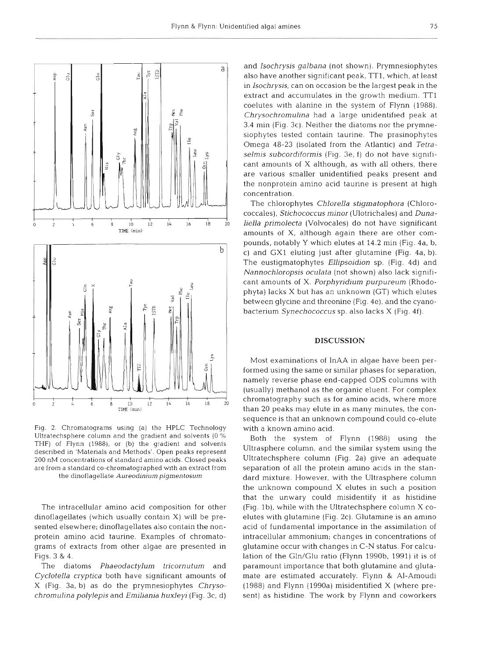

Fig. 2. Chromatograms using (a) the HPLC Technology Ultratechsphere column and the gradient and solvents (0 % THF) of Flynn (1988), or (b) the gradient and solvents described in 'Materials and Methods'. Open peaks represent 200 nM concentrations of standard amino acids Closed peaks are from a standard CO-chromatographed with an extract from the dinoflagellate Aureodinium pigmentosum

The intracellular amino acid composition for other dinoflagellates (which usually contain X) will be presented elsewhere; dinoflagellates also contain the nonprotein amino acid taurine. Examples of chromatograms of extracts from other algae are presented in Figs. 3 & 4.

The diatoms *Phaeodactylum tricornutum* and *Cyclotella cryptica* both have significant amounts of X (Fig. 3a, b) as do the prymnesiophytes *Chrysochromulina polylepis* and *Emiliania huxleyi* (Fig. 3c, d) and *Isochrysis galbana* (not shown). Prymnesiophytes also have another significant peak, TT1, which, at least in *Isochrysis,* can on occasion be the largest peak in the extract and accumulates in the growth medium. TT1 coelutes with alanine in the system of Flynn (1988). *Chrysochromulina* had a large unidentified peak at 3.4 min (Fig. 3c). Neither the diatoms nor the prymnesiophytes tested contain taurine. The prasinophytes Omega 48-23 (isolated from the Atlantic) and *Tetraselmis subcordiformis* (Fig. 3e, f) do not have significant amounts of X although, as with all others, there are various smaller unidentified peaks present and the nonprotein amino acid taurine is present at high concentration.

The chlorophytes *Chlorella stigmatophora* (Chlorococcales), *Stichococcus minor* (Ulotrichales) and *Dunaliella primolecta* (Volvocales) do not have significant amounts of  $X$ , although again there are other compounds, notably Y which elutes at 14.2 min (Fig. 4a, b, c) and GX1 eluting just after glutamine (Fig. 4a, b). The eustigmatophytes *Ellipsoidion* sp. (Fig. 4d) and *Nannochloropsis oculata* (not shown) also lack significant amounts of X. *Porphyridium purpureum* (Rhodophyta) lacks X but has an unknown (GT) which elutes between glycine and threonine (Fig. 4e), and the cyanobacterium *Synechococcus* sp. also lacks X (Fig. 4f).

#### **DISCUSSION**

Most examinations of InAA in algae have been performed using the same or similar phases for separation, namely reverse phase end-capped ODS columns with (usually) methanol as the organic eluent. For complex chromatography such as for amino acids, where more than 20 peaks may elute in as many minutes, the consequence is that an unknown compound could co-elute with a known amino acid.

Both the system of Flynn (1988) using the Ultrasphere column, and the similar system using the Ultratechsphere column (Fig. 2a) give an adequate separation of all the protein amino acids in the standard mixture. However, with the Ultrasphere column the unknown compound X elutes in such a position that the unwary could misidentify it as histidine (Fig. lb), while with the Ultratechsphere column X coelutes with glutamine (Fig. 2c). Glutamine is an amino acid of fundamental importance in the assimilation of intracellular ammonium; changes in concentrations of glutamine occur with changes in C-N status. For calculation of the Gln/Glu ratio (Flynn 1990b, 1991) it is of paramount importance that both glutamine and glutamate are estimated accurately. Flynn & Al-Amoudi (1988) and Flynn (1990a) misidentified X (where present) as histidine. The work by Flynn and coworkers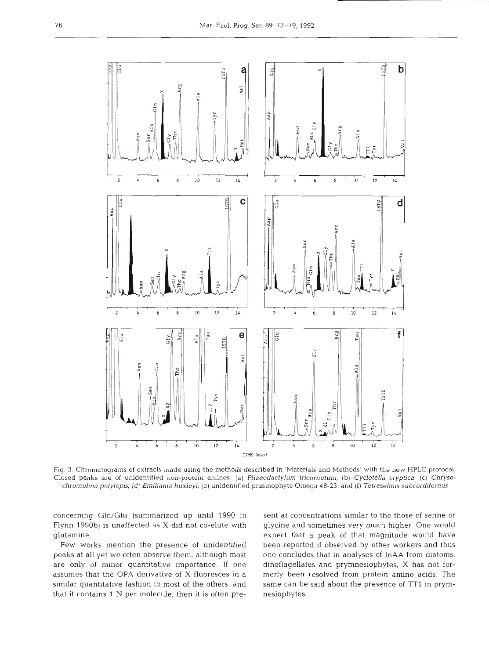

Fig. **3.** Chromatograms of extracts made using the methods described in 'Materials and Methods' with the new HPLC protocol. Closed peaks are of unidentified non-protein amines. (a) Phaeodaclylum tricornutum; (b) Cyclotella cryptica; *(c)* Chrysochromulina polylepis; **(d)** Erniliania huxleyi; *(e)* unidentified prasinophyte Omega **48-23;** and **(f)** Tetraselmis subcordiformis

concerning Gln/Glu (summarized up until 1990 in Flynn 1990b) is unaffected as  $X$  did not co-elute with glutamine.

Few works mention the presence of unidentified peaks at all yet we often observe them, although most are only of minor quantitative importance. If one assumes that the OPA derivative of X fluoresces in a similar quantitative fashion to most of the others, and that it contains 1 N per molecule, then it is often pre-

1990 in sent at concentrations similar to the those<br>ute with glycine and sometimes very much higher<br>expect that a peak of that magnitude<br>dentified been reported if observed by other works<br>ugh most one concludes that in ana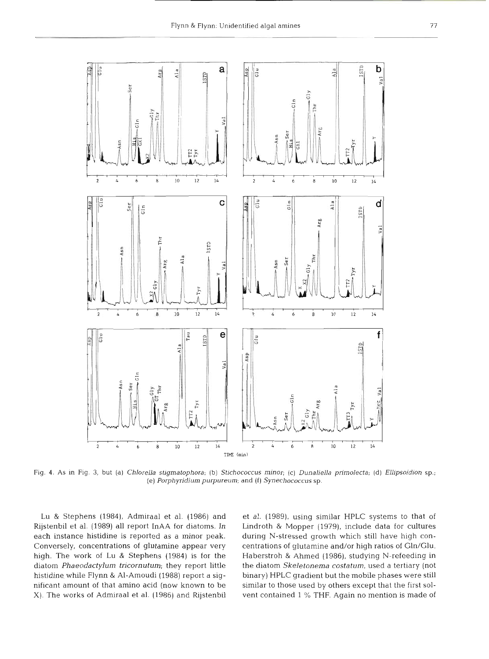

**Fig.** *4.* **As** *in Fig.* **3,** *but* **(a)** *Chlorella stigrnatophora;* **(b)** *Stichococcus minor; (c) Dunaliella prirnolecta; (d) Ellipsoidion* **sp.;**  *(e) Porphyrjdium pupureurn; and* **(f)** *Synechococcus* **sp.** 

Lu & Stephens (1984), Admiraal et al. (1986) and Rijstenbil et al. (1989) all report InAA for diatoms. In each instance histidine is reported as a minor peak. Conversely, concentrations of glutamine appear very high. The work of Lu & Stephens (1984) is for the diatom *Phaeodactylurn tricornutum;* they report little histidine. while Flynn & Al-Amoudi (1988) report a significant amount of that amino acid (now known to be X). The works of Admiraal et al. (1986) and Rijstenbil et al. (1989), using similar HPLC systems to that of Lindroth & Mopper (1979), include data for cultures during N-stressed growth which still have high concentrations of glutamine and/or high ratios of Gln/Glu. Haberstroh & Ahmed (1986), studying N-refeeding in the diatom *Skeletonema costatum,* used a tertiary (not binary) HPLC gradient but the mobile phases were still similar to those used by others except that the first solvent contained 1 % THF. Again no mention is made of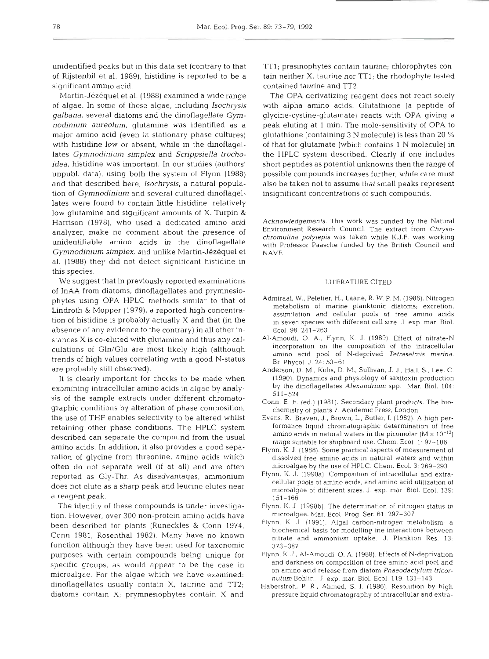unidentified peaks but in this data set (contrary to that of Rijstenbil et al. 1989), histidine is reported to be a significant amino acid.

Martin-Jézéquel et al. (1988) examined a wide range of algae. In some of these algae, including *Isochrysis galbana,* several diatoms and the dinoflagellate *Gymnodinium aureolum,* glutamine was identified as a major amino acid (even in stationary phase cultures) with histidine low or absent, while in the dinoflagellates *Gymnodinium simplex* and *Scrippsiella frochoidea,* histidine was important. In our studies (authors' unpubl, data), using both the system of Flynn (1988) and that described here, *Isochrysis,* a natural population of *Gymnodinium* and several cultured dinoflagellates were found to contain little histidine, relatively low glutamine and significant amounts of X. Turpin & Harrison (1978), who used a dedicated amino acid analyzer, make no comment about the presence of unidentifiable amino acids in the dinoflagellate *Gymnodinium simplex,* and unlike Martin-Jezequel et al. (1988) they did not detect significant histidine in this species.

We suggest that in previously reported examinations of InAA from diatoms, dinoflagellates and prymnesiophytes using OPA HPLC methods similar to that of Lindroth & Mopper (1979), a reported high concentration of histidine is probably actually X and that (in the absence of any evidence to the contrary) in all other instances X is CO-eluted with glutamine and thus any calculations of Gln/Glu are most likely high (although trends of high values correlating with a good N-status are probably still observed).

It is clearly important for checks to be made when examining intracellular amino acids in algae by analysis of the sample extracts under different chromatographic conditions by alteration of phase composition; the use of THF enables selectivity to be altered whilst retaining other phase conditions. The HPLC system described can separate the compound from the usual amino acids. In addition, it also provides a good separation of glycine from threonine, amino acids which often do not separate well (if at all) and are often reported as Gly-Thr. As disadvantages, ammonium does not elute as a sharp peak and leucine elutes near a reagent peak.

The identity of these compounds is under investigation. However, over 300 non-protein amino acids have been described for plants (Runeckles & Conn 1974, Conn 1981, Rosenthal 1982). Many have no known function although they have been used for taxonomic purposes with certain compounds being unique for specific groups, as would appear to be the case in microalgae. For the algae which we have examined: dinoflagellates usually contain  $X$ , taurine and  $TT2$ ; diatoms contain X; prymnesiophytes contain X and

TTI; prasinophytes contain taurine; chlorophytes contain neither X, taurine nor TT1; the rhodophyte tested contained taurine and TT2.

The OPA derivatizing reagent does not react solely with alpha amino acids. Glutathione (a peptide of glycine-cystine-glutamate) reacts with OPA giving a peak eluting at 1 min. The mole-sensitivity of OPA to glutathione (containing 3 N molecule) is less than 20 % of that for glutamate (which contains 1 N molecule) in the HPLC system described. Clearly if one includes short peptides as potential unknowns then the range of possible compounds increases further, while care must also be taken not to assume that small peaks represent insignificant concentrations of such compounds.

Acknowledgements. This work was funded by the Natural Environment Research Council. The extract from Chrysochromulina polylepis was taken while K.J.F. was working with Professor Paasche funded by the British Council and NAVF.

### LITERATURE CITED

- Admiraal, W., Peletier, H., Laane, R. W. P. M. (1986). Nitrogen metabolism of marine planktonic diatoms; excretion, assimilation and cellular pools of free amino acids in seven species with different cell size. J. exp. mar. Biol. Ecol. 98: 241-263
- Al-Amoudi, 0 A., Flynn, K J. (1989). Effect of nitrate-N incorporation on the composition of the intracellular amino acid pool of N-deprived Tetraselmis marina. Br. Phycol. J. 24: 53-61
- Anderson, D. M.. Kulis, D. M., Sullivan, **J.** J., Hall, S., Lee, C. (1990). Dynamics and physiology of saxitoxin production by the dinoflagellates Alexandrium spp. Mar. Biol. 104: 511-524
- Conn, E. E. (ed.) (1981). Secondary plant products. The biochemistry of plants **7.** Academic Press, London
- Evens, R., Braven, J., Brown, L., Butler, I. (1982). A high performance liquid chromatographic determination of free amino acids in natural waters in the picomolar  $(M \times 10^{-12})$ range suitable for shipboard use. Chem. Ecol. 1: 97-106
- Flynn. K. J. (1988). Some practical aspects of measurement of dissolved free amino acids in natural waters and within microalgae by the use of HPLC. Chem. Ecol. 3: 269-293
- Flynn, K. J. (1990a). Composition of intracellular and extracellular pools of amino aclds, and amino actd utilization of microalgae of different sizes. J. exp. mar. Biol. Ecol. 139: 151-166
- Flynn. K. J (1990b). The determination of nitrogen status in microalgae. Mar. Ecol. Prog. Ser. 61: 297-307
- Flynn, K. J (1991). Algal carbon-nitrogen metabolism: a biochemical basis for modelling the interactions between nitrate and ammonium uptake. J. Plankton Res. 13. 373-387
- Flynn, K. J., Al-Amoudi, 0. A. (1988). Effects of N-deprivation and darkness on composition of free amino acid pool and on amino acid release from diatom Phaeodactylum tricornutum Bohlin. J. exp. mar. Biol. Ecol. 119: 131-143
- Haberstroh, P. R., Ahrned, S. I. (1986). Resolution by high pressure liquid chromatography of intracellular and extra-